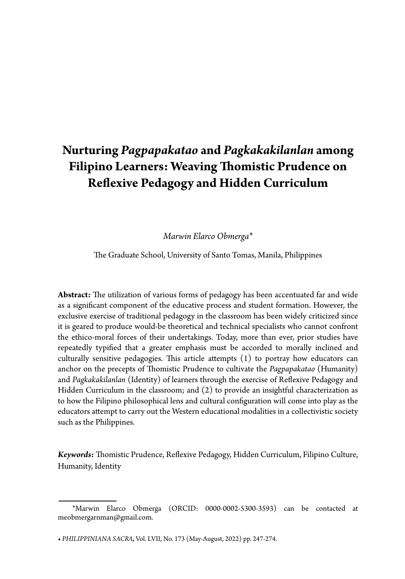# **Nurturing** *Pagpapakatao* **and** *Pagkakakilanlan* **among Filipino Learners: Weaving Thomistic Prudence on Reflexive Pedagogy and Hidden Curriculum**

*Marwin Elarco Obmerga\**

The Graduate School, University of Santo Tomas, Manila, Philippines

**Abstract:** The utilization of various forms of pedagogy has been accentuated far and wide as a significant component of the educative process and student formation. However, the exclusive exercise of traditional pedagogy in the classroom has been widely criticized since it is geared to produce would-be theoretical and technical specialists who cannot confront the ethico-moral forces of their undertakings. Today, more than ever, prior studies have repeatedly typified that a greater emphasis must be accorded to morally inclined and culturally sensitive pedagogies. This article attempts (1) to portray how educators can anchor on the precepts of Thomistic Prudence to cultivate the *Pagpapakatao* (Humanity) and *Pagkakakilanlan* (Identity) of learners through the exercise of Reflexive Pedagogy and Hidden Curriculum in the classroom; and (2) to provide an insightful characterization as to how the Filipino philosophical lens and cultural configuration will come into play as the educators attempt to carry out the Western educational modalities in a collectivistic society such as the Philippines.

*Keywords***:** Thomistic Prudence, Reflexive Pedagogy, Hidden Curriculum, Filipino Culture, Humanity, Identity

<sup>\*</sup>Marwin Elarco Obmerga (ORCID: 0000-0002-5300-3593) can be contacted at meobmergarnman@gmail.com.

**<sup>•</sup>** *PHILIPPINIANA SACRA,* Vol. LVII, No. 173 (May-August, 2022) pp. 247-274.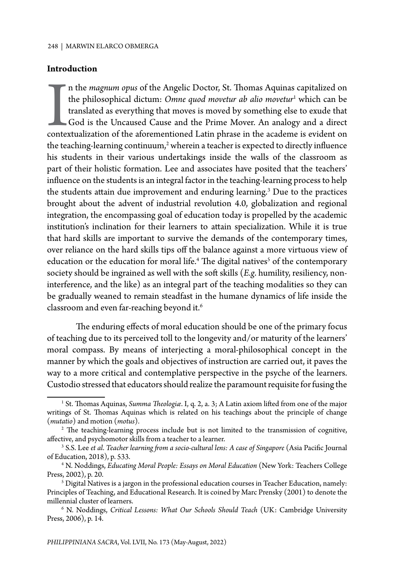### **Introduction**

I a the *magnum opus* of the Angelic Doctor, St. Thomas Aquinas capitalized on the philosophical dictum: *Omne quod movetur ab alio movetur*<sup>1</sup> which can be translated as everything that moves is moved by something else to n the *magnum opus* of the Angelic Doctor, St. Thomas Aquinas capitalized on the philosophical dictum: *Omne quod movetur ab alio movetur*<sup>1</sup> which can be translated as everything that moves is moved by something else to exude that God is the Uncaused Cause and the Prime Mover. An analogy and a direct the teaching-learning continuum,<sup>2</sup> wherein a teacher is expected to directly influence his students in their various undertakings inside the walls of the classroom as part of their holistic formation. Lee and associates have posited that the teachers' influence on the students is an integral factor in the teaching-learning process to help the students attain due improvement and enduring learning.<sup>3</sup> Due to the practices brought about the advent of industrial revolution 4.0, globalization and regional integration, the encompassing goal of education today is propelled by the academic institution's inclination for their learners to attain specialization. While it is true that hard skills are important to survive the demands of the contemporary times, over reliance on the hard skills tips off the balance against a more virtuous view of education or the education for moral life.<sup>4</sup> The digital natives<sup>5</sup> of the contemporary society should be ingrained as well with the soft skills (*E.g*. humility, resiliency, noninterference, and the like) as an integral part of the teaching modalities so they can be gradually weaned to remain steadfast in the humane dynamics of life inside the classroom and even far-reaching beyond it.<sup>6</sup>

The enduring effects of moral education should be one of the primary focus of teaching due to its perceived toll to the longevity and/or maturity of the learners' moral compass. By means of interjecting a moral-philosophical concept in the manner by which the goals and objectives of instruction are carried out, it paves the way to a more critical and contemplative perspective in the psyche of the learners. Custodio stressed that educators should realize the paramount requisite for fusing the

<sup>&</sup>lt;sup>1</sup> St. Thomas Aquinas, Summa Theologiæ. I, q. 2, a. 3; A Latin axiom lifted from one of the major writings of St. Thomas Aquinas which is related on his teachings about the principle of change (*mutatio*) and motion (*motus*).

<sup>&</sup>lt;sup>2</sup> The teaching-learning process include but is not limited to the transmission of cognitive, affective, and psychomotor skills from a teacher to a learner.

<sup>&</sup>lt;sup>3</sup> S.S. Lee *et al. Teacher learning from a socio-cultural lens: A case of Singapore (Asia Pacific Journal* of Education, 2018), p. 533.

<sup>4</sup> N. Noddings, *Educating Moral People: Essays on Moral Education* (New York: Teachers College Press, 2002), p. 20.

 $5$  Digital Natives is a jargon in the professional education courses in Teacher Education, namely: Principles of Teaching, and Educational Research. It is coined by Marc Prensky (2001) to denote the millennial cluster of learners.

<sup>6</sup> N. Noddings, *Critical Lessons: What Our Schools Should Teach* (UK: Cambridge University Press, 2006), p. 14.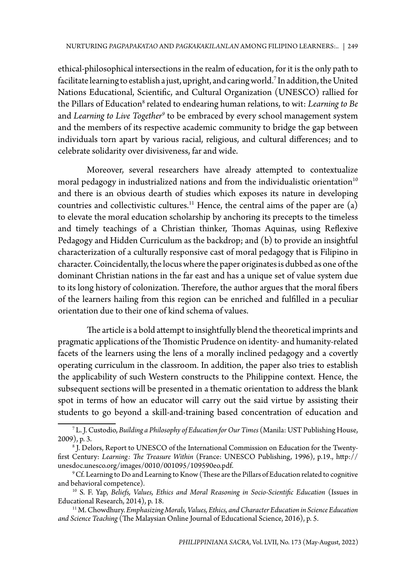ethical-philosophical intersections in the realm of education, for it is the only path to facilitate learning to establish a just, upright, and caring world.7 In addition, the United Nations Educational, Scientific, and Cultural Organization (UNESCO) rallied for the Pillars of Education<sup>8</sup> related to endearing human relations, to wit: *Learning to Be* and *Learning to Live Together9* to be embraced by every school management system and the members of its respective academic community to bridge the gap between individuals torn apart by various racial, religious, and cultural differences; and to celebrate solidarity over divisiveness, far and wide.

Moreover, several researchers have already attempted to contextualize moral pedagogy in industrialized nations and from the individualistic orientation $10$ and there is an obvious dearth of studies which exposes its nature in developing countries and collectivistic cultures.<sup>11</sup> Hence, the central aims of the paper are  $(a)$ to elevate the moral education scholarship by anchoring its precepts to the timeless and timely teachings of a Christian thinker, Thomas Aquinas, using Reflexive Pedagogy and Hidden Curriculum as the backdrop; and (b) to provide an insightful characterization of a culturally responsive cast of moral pedagogy that is Filipino in character. Coincidentally, the locus where the paper originates is dubbed as one of the dominant Christian nations in the far east and has a unique set of value system due to its long history of colonization. Therefore, the author argues that the moral fibers of the learners hailing from this region can be enriched and fulfilled in a peculiar orientation due to their one of kind schema of values.

The article is a bold attempt to insightfully blend the theoretical imprints and pragmatic applications of the Thomistic Prudence on identity- and humanity-related facets of the learners using the lens of a morally inclined pedagogy and a covertly operating curriculum in the classroom. In addition, the paper also tries to establish the applicability of such Western constructs to the Philippine context. Hence, the subsequent sections will be presented in a thematic orientation to address the blank spot in terms of how an educator will carry out the said virtue by assisting their students to go beyond a skill-and-training based concentration of education and

<sup>7</sup> L. J. Custodio, *Building a Philosophy of Education for Our Times* (Manila: UST Publishing House, 2009), p. 3.

<sup>8</sup> J. Delors, Report to UNESCO of the International Commission on Education for the Twentyfirst Century: *Learning: The Treasure Within* (France: UNESCO Publishing, 1996), p.19., http:// unesdoc.unesco.org/images/0010/001095/109590eo.pdf.

 $^9$  Cf. Learning to Do and Learning to Know (These are the Pillars of Education related to cognitive and behavioral competence).

<sup>&</sup>lt;sup>10</sup> S. F. Yap, *Beliefs, Values, Ethics and Moral Reasoning in Socio-Scientific Education* (Issues in Educational Research, 2014), p. 18.

<sup>&</sup>lt;sup>11</sup> M. Chowdhury. *Emphasizing Morals, Values, Ethics, and Character Education in Science Education and Science Teaching* (The Malaysian Online Journal of Educational Science, 2016), p. 5.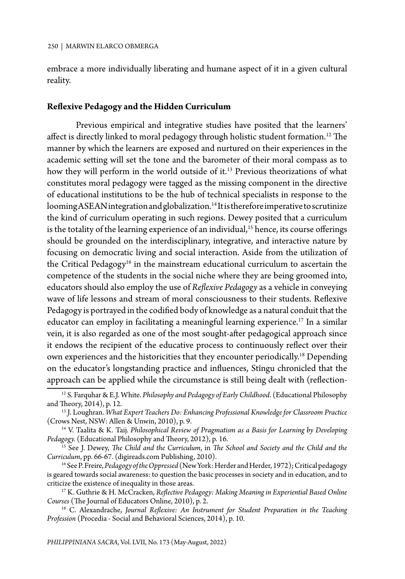embrace a more individually liberating and humane aspect of it in a given cultural reality.

### **Reflexive Pedagogy and the Hidden Curriculum**

Previous empirical and integrative studies have posited that the learners' affect is directly linked to moral pedagogy through holistic student formation.<sup>12</sup> The manner by which the learners are exposed and nurtured on their experiences in the academic setting will set the tone and the barometer of their moral compass as to how they will perform in the world outside of it.<sup>13</sup> Previous theorizations of what constitutes moral pedagogy were tagged as the missing component in the directive of educational institutions to be the hub of technical specialists in response to the looming ASEAN integration and globalization.<sup>14</sup> It is therefore imperative to scrutinize the kind of curriculum operating in such regions. Dewey posited that a curriculum is the totality of the learning experience of an individual,<sup>15</sup> hence, its course offerings should be grounded on the interdisciplinary, integrative, and interactive nature by focusing on democratic living and social interaction. Aside from the utilization of the Critical Pedagogy<sup>16</sup> in the mainstream educational curriculum to ascertain the competence of the students in the social niche where they are being groomed into, educators should also employ the use of *Reflexive Pedagogy* as a vehicle in conveying wave of life lessons and stream of moral consciousness to their students. Reflexive Pedagogy is portrayed in the codified body of knowledge as a natural conduit that the educator can employ in facilitating a meaningful learning experience.<sup>17</sup> In a similar vein, it is also regarded as one of the most sought-after pedagogical approach since it endows the recipient of the educative process to continuously reflect over their own experiences and the historicities that they encounter periodically.18 Depending on the educator's longstanding practice and influences, Stîngu chronicled that the approach can be applied while the circumstance is still being dealt with (reflection-

<sup>12</sup> S. Farquhar & E.J. White. *Philosophy and Pedagogy of Early Childhood*. (Educational Philosophy

and Theory, 2014), p. 12.<br><sup>13</sup> J. Loughran. *What Expert Teachers Do: Enhancing Professional Knowledge for Classroom Practice*<br>(Crows Nest, NSW: Allen & Unwin, 2010), p. 9.

<sup>&</sup>lt;sup>14</sup> V. Taalita & K. Taij. *Philosophical Review of Pragmatism as a Basis for Learning by Developing Pedagogy. (Educational Philosophy and Theory, 2012), p. 16.* 

<sup>&</sup>lt;sup>15</sup> See J. Dewey, *The Child and the Curriculum*, in *The School and Society and the Child and the Curriculum*, pp. 66-67. (digireads.com Publishing, 2010).

<sup>16</sup> See P. Freire, *Pedagogy of the Oppressed* (New York: Herder and Herder, 1972); Critical pedagogy is geared towards social awareness: to question the basic processes in society and in education, and to criticize the existence of inequality in those areas.

<sup>&</sup>lt;sup>17</sup> K. Guthrie & H. McCracken, *Reflective Pedagogy: Making Meaning in Experiential Based Online Courses* (The Journal of Educators Online, 2010), p. 2.

<sup>&</sup>lt;sup>18</sup> C. Alexandrache, *Journal Reflexive: An Instrument for Student Preparation in the Teaching Profession* (Procedia - Social and Behavioral Sciences, 2014), p. 10.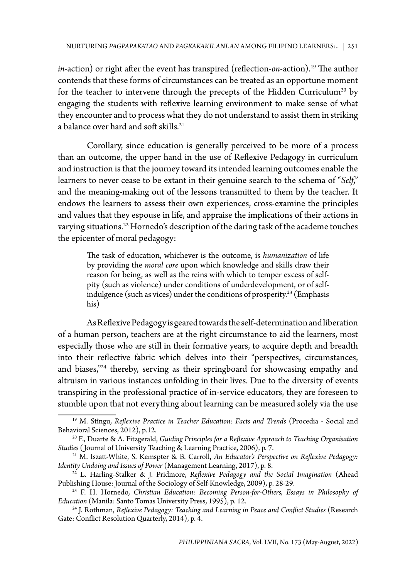*in*-action) or right after the event has transpired (reflection-*on*-action).<sup>19</sup> The author contends that these forms of circumstances can be treated as an opportune moment for the teacher to intervene through the precepts of the Hidden Curriculum<sup>20</sup> by engaging the students with reflexive learning environment to make sense of what they encounter and to process what they do not understand to assist them in striking a balance over hard and soft skills.<sup>21</sup>

Corollary, since education is generally perceived to be more of a process than an outcome, the upper hand in the use of Reflexive Pedagogy in curriculum and instruction is that the journey toward its intended learning outcomes enable the learners to never cease to be extant in their genuine search to the schema of "*Self*," and the meaning-making out of the lessons transmitted to them by the teacher. It endows the learners to assess their own experiences, cross-examine the principles and values that they espouse in life, and appraise the implications of their actions in varying situations.<sup>22</sup> Hornedo's description of the daring task of the academe touches the epicenter of moral pedagogy:

The task of education, whichever is the outcome, is *humanization* of life by providing the *moral core* upon which knowledge and skills draw their reason for being, as well as the reins with which to temper excess of selfpity (such as violence) under conditions of underdevelopment, or of selfindulgence (such as vices) under the conditions of prosperity.<sup>23</sup> (Emphasis his)

As Reflexive Pedagogy is geared towards the self-determination and liberation of a human person, teachers are at the right circumstance to aid the learners, most especially those who are still in their formative years, to acquire depth and breadth into their reflective fabric which delves into their "perspectives, circumstances, and biases,"24 thereby, serving as their springboard for showcasing empathy and altruism in various instances unfolding in their lives. Due to the diversity of events transpiring in the professional practice of in-service educators, they are foreseen to stumble upon that not everything about learning can be measured solely via the use

<sup>19</sup> M. Stîngu, *Reflexive Practice in Teacher Education: Facts and Trends* (Procedia - Social and Behavioral Sciences, 2012), p.12.<br><sup>20</sup> F., Duarte & A. Fitzgerald, *Guiding Principles for a Reflexive Approach to Teaching Organisation* 

*Studies* ( Journal of University Teaching & Learning Practice, 2006), p. 7.

<sup>&</sup>lt;sup>21</sup> M. Iszatt-White, S. Kemspter & B. Carroll, *An Educator's Perspective on Reflexive Pedagogy:* Identity Undoing and Issues of Power (Management Learning, 2017), p. 8.

<sup>&</sup>lt;sup>22</sup> L. Harling-Stalker & J. Pridmore, *Reflexive Pedagogy and the Social Imagination* (Ahead Publishing House: Journal of the Sociology of Self-Knowledge, 2009), p. 28-29.

<sup>23</sup> F. H. Hornedo, *Christian Education: Becoming Person-for-Others, Essays in Philosophy of Education* (Manila: Santo Tomas University Press, 1995), p. 12.

<sup>24</sup> J. Rothman, *Reflexive Pedagogy: Teaching and Learning in Peace and Conflict Studies* (Research Gate: Conflict Resolution Quarterly, 2014), p. 4.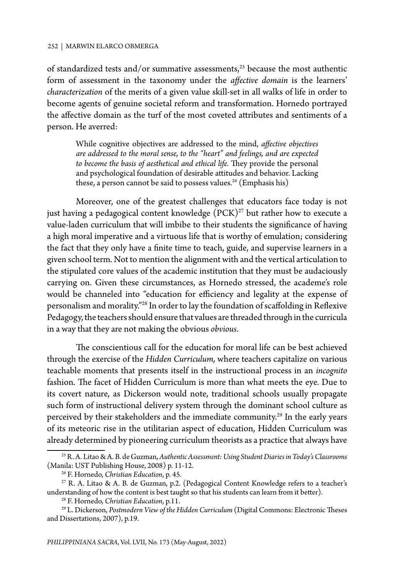#### 252 | MARWIN ELARCO OBMERGA

of standardized tests and/or summative assessments,<sup>25</sup> because the most authentic form of assessment in the taxonomy under the *affective domain* is the learners' *characterization* of the merits of a given value skill-set in all walks of life in order to become agents of genuine societal reform and transformation. Hornedo portrayed the affective domain as the turf of the most coveted attributes and sentiments of a person. He averred:

While cognitive objectives are addressed to the mind, *affective objectives are addressed to the moral sense, to the "heart" and feelings, and are expected to become the basis of aesthetical and ethical life.* They provide the personal and psychological foundation of desirable attitudes and behavior. Lacking these, a person cannot be said to possess values.<sup>26</sup> (Emphasis his)

Moreover, one of the greatest challenges that educators face today is not just having a pedagogical content knowledge  $(PCK)^{27}$  but rather how to execute a value-laden curriculum that will imbibe to their students the significance of having a high moral imperative and a virtuous life that is worthy of emulation; considering the fact that they only have a finite time to teach, guide, and supervise learners in a given school term. Not to mention the alignment with and the vertical articulation to the stipulated core values of the academic institution that they must be audaciously carrying on. Given these circumstances, as Hornedo stressed, the academe's role would be channeled into "education for efficiency and legality at the expense of personalism and morality."28 In order to lay the foundation of scaffolding in Reflexive Pedagogy, the teachers should ensure that values are threaded through in the curricula in a way that they are not making the obvious *obvious*.

The conscientious call for the education for moral life can be best achieved through the exercise of the *Hidden Curriculum,* where teachers capitalize on various teachable moments that presents itself in the instructional process in an *incognito* fashion. The facet of Hidden Curriculum is more than what meets the eye. Due to its covert nature, as Dickerson would note, traditional schools usually propagate such form of instructional delivery system through the dominant school culture as perceived by their stakeholders and the immediate community.<sup>29</sup> In the early years of its meteoric rise in the utilitarian aspect of education, Hidden Curriculum was already determined by pioneering curriculum theorists as a practice that always have

<sup>25</sup> R. A. Litao & A. B. de Guzman, *Authentic Assessment: Using Student Diaries in Today's Classrooms* (Manila: UST Publishing House, 2008) p. 11-12.

<sup>26</sup> F. Hornedo, *Christian Education*, p. 45.

<sup>27</sup> R. A. Litao & A. B. de Guzman, p.2. (Pedagogical Content Knowledge refers to a teacher's understanding of how the content is best taught so that his students can learn from it better).

<sup>28</sup> F. Hornedo, *Christian Education*, p.11.

<sup>29</sup> L. Dickerson, *Postmodern View of the Hidden Curriculum* (Digital Commons: Electronic Theses and Dissertations, 2007), p.19.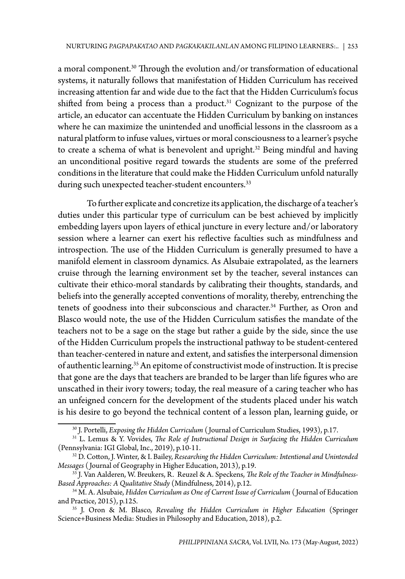a moral component.<sup>30</sup> Through the evolution and/or transformation of educational systems, it naturally follows that manifestation of Hidden Curriculum has received increasing attention far and wide due to the fact that the Hidden Curriculum's focus shifted from being a process than a product.<sup>31</sup> Cognizant to the purpose of the article, an educator can accentuate the Hidden Curriculum by banking on instances where he can maximize the unintended and unofficial lessons in the classroom as a natural platform to infuse values, virtues or moral consciousness to a learner's psyche to create a schema of what is benevolent and upright.<sup>32</sup> Being mindful and having an unconditional positive regard towards the students are some of the preferred conditions in the literature that could make the Hidden Curriculum unfold naturally during such unexpected teacher-student encounters.<sup>33</sup>

To further explicate and concretize its application, the discharge of a teacher's duties under this particular type of curriculum can be best achieved by implicitly embedding layers upon layers of ethical juncture in every lecture and/or laboratory session where a learner can exert his reflective faculties such as mindfulness and introspection. The use of the Hidden Curriculum is generally presumed to have a manifold element in classroom dynamics. As Alsubaie extrapolated, as the learners cruise through the learning environment set by the teacher, several instances can cultivate their ethico-moral standards by calibrating their thoughts, standards, and beliefs into the generally accepted conventions of morality, thereby, entrenching the tenets of goodness into their subconscious and character.<sup>34</sup> Further, as Oron and Blasco would note, the use of the Hidden Curriculum satisfies the mandate of the teachers not to be a sage on the stage but rather a guide by the side, since the use of the Hidden Curriculum propels the instructional pathway to be student-centered than teacher-centered in nature and extent, and satisfies the interpersonal dimension of authentic learning.<sup>35</sup> An epitome of constructivist mode of instruction. It is precise that gone are the days that teachers are branded to be larger than life figures who are unscathed in their ivory towers; today, the real measure of a caring teacher who has an unfeigned concern for the development of the students placed under his watch is his desire to go beyond the technical content of a lesson plan, learning guide, or

<sup>&</sup>lt;sup>30</sup> J. Portelli, *Exposing the Hidden Curriculum* (Journal of Curriculum Studies, 1993), p.17.<br><sup>31</sup> L. Lemus & Y. Vovides, *The Role of Instructional Design in Surfacing the Hidden Curriculum*<br>(Pennsylvania: IGI Global, I

<sup>&</sup>lt;sup>32</sup> D. Cotton, J. Winter, & I. Bailey, *Researching the Hidden Curriculum: Intentional and Unintended Messages* (Journal of Geography in Higher Education, 2013), p.19.

<sup>&</sup>lt;sup>33</sup> J. Van Aalderen, W. Breukers, R. Reuzel & A. Speckens, *The Role of the Teacher in Mindfulness-Based Approaches: A Qualitative Study* (Mindfulness, 2014), p.12.

*Based Approaches: A Qualitative Study* (Mindfulness, 2014), p.12. 34 M. A. Alsubaie, *Hidden Curriculum as One of Current Issue of Curriculum* ( Journal of Education and Practice, 2015), p.125.

<sup>35</sup> J. Oron & M. Blasco, *Revealing the Hidden Curriculum in Higher Education* (Springer Science+Business Media: Studies in Philosophy and Education, 2018), p.2.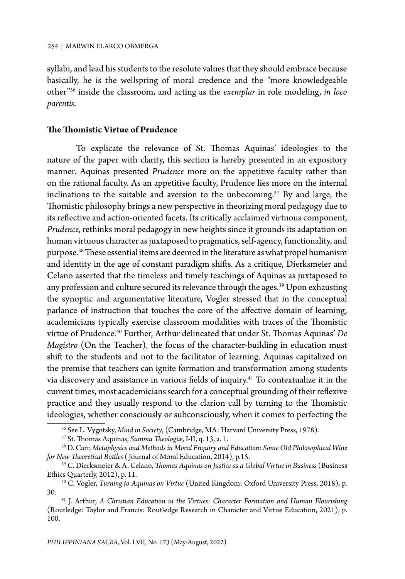syllabi, and lead his students to the resolute values that they should embrace because basically, he is the wellspring of moral credence and the "more knowledgeable other"36 inside the classroom, and acting as the *exemplar* in role modeling, *in loco parentis*.

### **The Thomistic Virtue of Prudence**

To explicate the relevance of St. Thomas Aquinas' ideologies to the nature of the paper with clarity, this section is hereby presented in an expository manner. Aquinas presented *Prudence* more on the appetitive faculty rather than on the rational faculty. As an appetitive faculty, Prudence lies more on the internal inclinations to the suitable and aversion to the unbecoming.<sup>37</sup> By and large, the Thomistic philosophy brings a new perspective in theorizing moral pedagogy due to its reflective and action-oriented facets. Its critically acclaimed virtuous component, *Prudence*, rethinks moral pedagogy in new heights since it grounds its adaptation on human virtuous character as juxtaposed to pragmatics, self-agency, functionality, and purpose.38 These essential items are deemed in the literature as what propel humanism and identity in the age of constant paradigm shifts. As a critique, Dierksmeier and Celano asserted that the timeless and timely teachings of Aquinas as juxtaposed to any profession and culture secured its relevance through the ages.<sup>39</sup> Upon exhausting the synoptic and argumentative literature, Vogler stressed that in the conceptual parlance of instruction that touches the core of the affective domain of learning, academicians typically exercise classroom modalities with traces of the Thomistic virtue of Prudence.40 Further, Arthur delineated that under St. Thomas Aquinas' *De Magistro* (On the Teacher), the focus of the character-building in education must shift to the students and not to the facilitator of learning. Aquinas capitalized on the premise that teachers can ignite formation and transformation among students via discovery and assistance in various fields of inquiry.<sup>41</sup> To contextualize it in the current times, most academicians search for a conceptual grounding of their reflexive practice and they usually respond to the clarion call by turning to the Thomistic ideologies, whether consciously or subconsciously, when it comes to perfecting the

<sup>36</sup> See L. Vygotsky, *Mind in Society*, (Cambridge, MA: Harvard University Press, 1978).

<sup>&</sup>lt;sup>38</sup> D. Carr, *Metaphysics and Methods in Moral Enquiry and Education: Some Old Philosophical Wine for New Theoretical Bottles (Journal of Moral Education, 2014), p.15.* 

<sup>&</sup>lt;sup>39</sup> C. Dierksmeier & A. Celano, *Thomas Aquinas on Justice as a Global Virtue in Business* (Business Ethics Quarterly, 2012), p. 11.

<sup>&</sup>lt;sup>40</sup> C. Vogler, *Turning to Aquinas on Virtue* (United Kingdom: Oxford University Press, 2018), p.

<sup>30. 41</sup> J. Arthur, *A Christian Education in the Virtues: Character Formation and Human Flourishing* (Routledge: Taylor and Francis: Routledge Research in Character and Virtue Education, 2021), p. 100.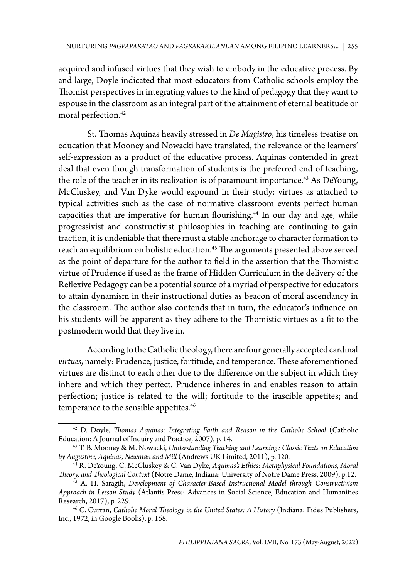acquired and infused virtues that they wish to embody in the educative process. By and large, Doyle indicated that most educators from Catholic schools employ the Thomist perspectives in integrating values to the kind of pedagogy that they want to espouse in the classroom as an integral part of the attainment of eternal beatitude or moral perfection.<sup>42</sup>

St. Thomas Aquinas heavily stressed in *De Magistro*, his timeless treatise on education that Mooney and Nowacki have translated, the relevance of the learners' self-expression as a product of the educative process. Aquinas contended in great deal that even though transformation of students is the preferred end of teaching, the role of the teacher in its realization is of paramount importance.<sup>43</sup> As DeYoung, McCluskey, and Van Dyke would expound in their study: virtues as attached to typical activities such as the case of normative classroom events perfect human capacities that are imperative for human flourishing.<sup>44</sup> In our day and age, while progressivist and constructivist philosophies in teaching are continuing to gain traction, it is undeniable that there must a stable anchorage to character formation to reach an equilibrium on holistic education.<sup>45</sup> The arguments presented above served as the point of departure for the author to field in the assertion that the Thomistic virtue of Prudence if used as the frame of Hidden Curriculum in the delivery of the Reflexive Pedagogy can be a potential source of a myriad of perspective for educators to attain dynamism in their instructional duties as beacon of moral ascendancy in the classroom. The author also contends that in turn, the educator's influence on his students will be apparent as they adhere to the Thomistic virtues as a fit to the postmodern world that they live in.

According to the Catholic theology, there are four generally accepted cardinal *virtues*, namely: Prudence, justice, fortitude, and temperance. These aforementioned virtues are distinct to each other due to the difference on the subject in which they inhere and which they perfect. Prudence inheres in and enables reason to attain perfection; justice is related to the will; fortitude to the irascible appetites; and temperance to the sensible appetites.<sup>46</sup>

<sup>&</sup>lt;sup>42</sup> D. Doyle, *Thomas Aquinas: Integrating Faith and Reason in the Catholic School* (Catholic Education: A Journal of Inquiry and Practice, 2007), p. 14.

<sup>&</sup>lt;sup>43</sup> T. B. Mooney & M. Nowacki, *Understanding Teaching and Learning: Classic Texts on Education* by Augustine, Aquinas, Newman and Mill (Andrews UK Limited, 2011), p. 120.

<sup>&</sup>lt;sup>44</sup> R. DeYoung, C. McCluskey & C. Van Dyke, *Aquinas's Ethics: Metaphysical Foundations, Moral Theory, and Theological Context* (Notre Dame, Indiana: University of Notre Dame Press, 2009), p.12.

<sup>&</sup>lt;sup>45</sup> A. H. Saragih, Development of Character-Based Instructional Model through Constructivism *Approach in Lesson Study* (Atlantis Press: Advances in Social Science, Education and Humanities

<sup>&</sup>lt;sup>46</sup> C. Curran, *Catholic Moral Theology in the United States: A History* (Indiana: Fides Publishers, Inc., 1972, in Google Books), p. 168.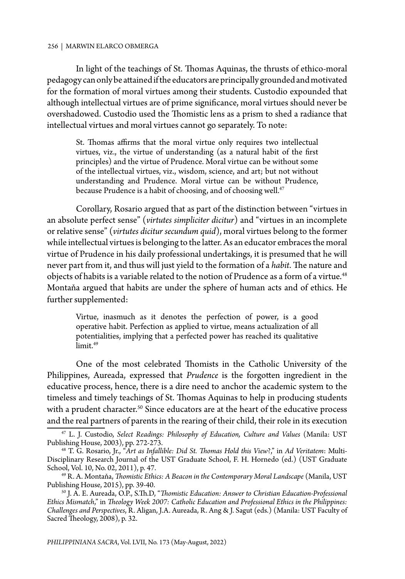In light of the teachings of St. Thomas Aquinas, the thrusts of ethico-moral pedagogy can only be attained if the educators are principally grounded and motivated for the formation of moral virtues among their students. Custodio expounded that although intellectual virtues are of prime significance, moral virtues should never be overshadowed. Custodio used the Thomistic lens as a prism to shed a radiance that intellectual virtues and moral virtues cannot go separately. To note:

St. Thomas affirms that the moral virtue only requires two intellectual virtues, viz., the virtue of understanding (as a natural habit of the first principles) and the virtue of Prudence. Moral virtue can be without some of the intellectual virtues, viz., wisdom, science, and art; but not without understanding and Prudence. Moral virtue can be without Prudence, because Prudence is a habit of choosing, and of choosing well.<sup>47</sup>

Corollary, Rosario argued that as part of the distinction between "virtues in an absolute perfect sense" (*virtutes simpliciter dicitur*) and "virtues in an incomplete or relative sense" (*virtutes dicitur secundum quid*), moral virtues belong to the former while intellectual virtues is belonging to the latter. As an educator embraces the moral virtue of Prudence in his daily professional undertakings, it is presumed that he will never part from it, and thus will just yield to the formation of a *habit*. The nature and objects of habits is a variable related to the notion of Prudence as a form of a virtue.<sup>48</sup> Montaňa argued that habits are under the sphere of human acts and of ethics. He further supplemented:

Virtue, inasmuch as it denotes the perfection of power, is a good operative habit. Perfection as applied to virtue, means actualization of all potentialities, implying that a perfected power has reached its qualitative  $\lim$ it<sup>49</sup>

One of the most celebrated Thomists in the Catholic University of the Philippines, Aureada, expressed that *Prudence* is the forgotten ingredient in the educative process, hence, there is a dire need to anchor the academic system to the timeless and timely teachings of St. Thomas Aquinas to help in producing students with a prudent character.<sup>50</sup> Since educators are at the heart of the educative process and the real partners of parents in the rearing of their child, their role in its execution

<sup>47</sup> L. J. Custodio, *Select Readings: Philosophy of Education, Culture and Values* (Manila: UST

<sup>&</sup>lt;sup>48</sup> T. G. Rosario, Jr., "Art as Infallible: Did St. Thomas Hold this View?," in Ad Veritatem: Multi-Disciplinary Research Journal of the UST Graduate School, F. H. Hornedo (ed.) (UST Graduate School, Vol. 10, No. 02, 2011), p. 47.

<sup>49</sup> R. A. Montaňa, *Thomistic Ethics: A Beacon in the Contemporary Moral Landscape* (Manila, UST

<sup>&</sup>lt;sup>50</sup> J. A. E. Aureada, O.P., S.Th.D, "*Thomistic Education: Answer to Christian Education-Professional Ethics Mismatch*," in *Theology Week 2007: Catholic Education and Professional Ethics in the Philippines: Challenges and Perspectives*, R. Aligan, J.A. Aureada, R. Ang & J. Sagut (eds.) (Manila: UST Faculty of Sacred Theology, 2008), p. 32.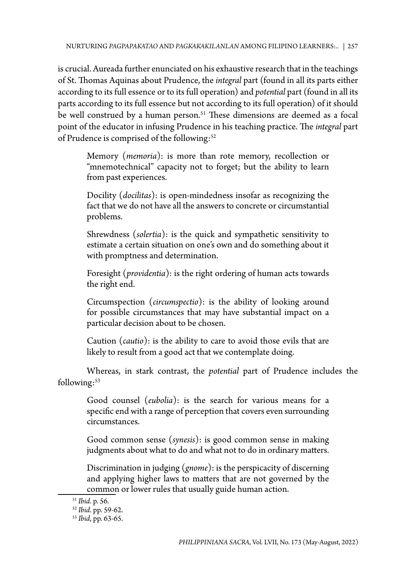is crucial. Aureada further enunciated on his exhaustive research that in the teachings of St. Thomas Aquinas about Prudence, the *integral* part (found in all its parts either according to its full essence or to its full operation) and *potential* part (found in all its parts according to its full essence but not according to its full operation) of it should be well construed by a human person.<sup>51</sup> These dimensions are deemed as a focal point of the educator in infusing Prudence in his teaching practice. The *integral* part of Prudence is comprised of the following:<sup>52</sup>

Memory (*memoria*): is more than rote memory, recollection or "mnemotechnical" capacity not to forget; but the ability to learn from past experiences.

Docility (*docilitas*): is open-mindedness insofar as recognizing the fact that we do not have all the answers to concrete or circumstantial problems.

Shrewdness (*solertia*): is the quick and sympathetic sensitivity to estimate a certain situation on one's own and do something about it with promptness and determination.

Foresight (*providentia*): is the right ordering of human acts towards the right end.

Circumspection (*circumspectio*): is the ability of looking around for possible circumstances that may have substantial impact on a particular decision about to be chosen.

Caution (*cautio*): is the ability to care to avoid those evils that are likely to result from a good act that we contemplate doing.

Whereas, in stark contrast, the *potential* part of Prudence includes the following: $53$ 

Good counsel (*eubolia*): is the search for various means for a specific end with a range of perception that covers even surrounding circumstances.

Good common sense (*synesis*): is good common sense in making judgments about what to do and what not to do in ordinary matters.

Discrimination in judging (*gnome*): is the perspicacity of discerning and applying higher laws to matters that are not governed by the common or lower rules that usually guide human action.<br><sup>51</sup> *Ibid*. p. 56.<br><sup>52</sup> *Ibid*. pp. 59-62.

<sup>52</sup> *Ibid*. pp. 59-62. 53 *Ibid*, pp. 63-65.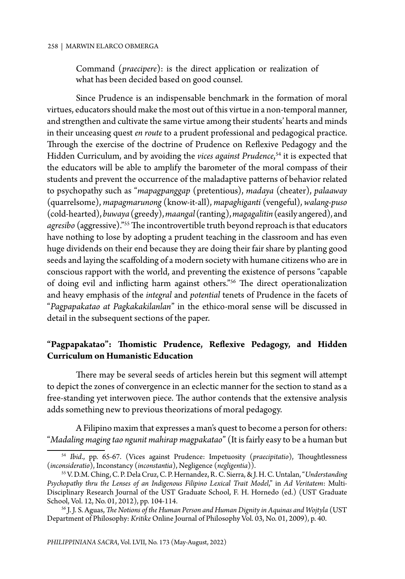Command (*praecipere*): is the direct application or realization of what has been decided based on good counsel.

Since Prudence is an indispensable benchmark in the formation of moral virtues, educators should make the most out of this virtue in a non-temporal manner, and strengthen and cultivate the same virtue among their students' hearts and minds in their unceasing quest *en route* to a prudent professional and pedagogical practice. Through the exercise of the doctrine of Prudence on Reflexive Pedagogy and the Hidden Curriculum, and by avoiding the *vices against Prudence*, <sup>54</sup> it is expected that the educators will be able to amplify the barometer of the moral compass of their students and prevent the occurrence of the maladaptive patterns of behavior related to psychopathy such as "*mapagpanggap* (pretentious), *madaya* (cheater), *palaaway* (quarrelsome), *mapagmarunong* (know-it-all), *mapaghiganti* (vengeful), *walang-puso* (cold-hearted), *buwaya* (greedy), *maangal* (ranting), *magagalitin* (easily angered), and *agresibo* (aggressive)."55 The incontrovertible truth beyond reproach is that educators have nothing to lose by adopting a prudent teaching in the classroom and has even huge dividends on their end because they are doing their fair share by planting good seeds and laying the scaffolding of a modern society with humane citizens who are in conscious rapport with the world, and preventing the existence of persons "capable of doing evil and inflicting harm against others."56 The direct operationalization and heavy emphasis of the *integral* and *potential* tenets of Prudence in the facets of "*Pagpapakatao at Pagkakakilanlan*" in the ethico-moral sense will be discussed in detail in the subsequent sections of the paper.

## **"Pagpapakatao": Thomistic Prudence, Reflexive Pedagogy, and Hidden Curriculum on Humanistic Education**

There may be several seeds of articles herein but this segment will attempt to depict the zones of convergence in an eclectic manner for the section to stand as a free-standing yet interwoven piece. The author contends that the extensive analysis adds something new to previous theorizations of moral pedagogy.

A Filipino maxim that expresses a man's quest to become a person for others: "*Madaling maging tao ngunit mahirap magpakatao*" (It is fairly easy to be a human but

<sup>54</sup> *Ibid*., pp. 65-67. (Vices against Prudence: Impetuosity (*praecipitatio*), Thoughtlessness (*inconsideratio*), Inconstancy (*inconstantia*), Negligence (*negligentia*)).

<sup>55</sup> V. D.M. Ching, C. P. Dela Cruz, C. P. Hernandez, R. C. Sierra, & J. H. C. Untalan, "*Understanding Psychopathy thru the Lenses of an Indigenous Filipino Lexical Trait Model*," in *Ad Veritatem*: Multi-Disciplinary Research Journal of the UST Graduate School, F. H. Hornedo (ed.) (UST Graduate School, Vol. 12, No. 01, 2012), pp. 104-114.

<sup>56</sup> J. J. S. Aguas, *The Notions of the Human Person and Human Dignity in Aquinas and Wojtyla* (UST Department of Philosophy: *Kritike* Online Journal of Philosophy Vol. 03, No. 01, 2009), p. 40.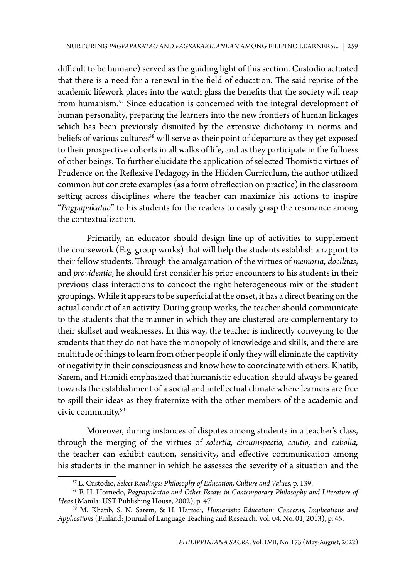difficult to be humane) served as the guiding light of this section. Custodio actuated that there is a need for a renewal in the field of education. The said reprise of the academic lifework places into the watch glass the benefits that the society will reap from humanism.<sup>57</sup> Since education is concerned with the integral development of human personality, preparing the learners into the new frontiers of human linkages which has been previously disunited by the extensive dichotomy in norms and beliefs of various cultures<sup>58</sup> will serve as their point of departure as they get exposed to their prospective cohorts in all walks of life, and as they participate in the fullness of other beings. To further elucidate the application of selected Thomistic virtues of Prudence on the Reflexive Pedagogy in the Hidden Curriculum, the author utilized common but concrete examples (as a form of reflection on practice) in the classroom setting across disciplines where the teacher can maximize his actions to inspire "*Pagpapakatao*" to his students for the readers to easily grasp the resonance among the contextualization.

Primarily, an educator should design line-up of activities to supplement the coursework (E.g. group works) that will help the students establish a rapport to their fellow students. Through the amalgamation of the virtues of *memoria*, *docilitas*, and *providentia,* he should first consider his prior encounters to his students in their previous class interactions to concoct the right heterogeneous mix of the student groupings. While it appears to be superficial at the onset, it has a direct bearing on the actual conduct of an activity. During group works, the teacher should communicate to the students that the manner in which they are clustered are complementary to their skillset and weaknesses. In this way, the teacher is indirectly conveying to the students that they do not have the monopoly of knowledge and skills, and there are multitude of things to learn from other people if only they will eliminate the captivity of negativity in their consciousness and know how to coordinate with others. Khatib, Sarem, and Hamidi emphasized that humanistic education should always be geared towards the establishment of a social and intellectual climate where learners are free to spill their ideas as they fraternize with the other members of the academic and civic community.59

Moreover, during instances of disputes among students in a teacher's class, through the merging of the virtues of *solertia, circumspectio, cautio,* and *eubolia,*  the teacher can exhibit caution, sensitivity, and effective communication among his students in the manner in which he assesses the severity of a situation and the

<sup>&</sup>lt;sup>57</sup> L. Custodio, *Select Readings: Philosophy of Education, Culture and Values*, p. 139.<br><sup>58</sup> F. H. Hornedo, *Pagpapakatao and Other Essays in Contemporary Philosophy and Literature of Ideas* (Manila: UST Publishing House, 2002), p. 47.

<sup>59</sup> M. Khatib, S. N. Sarem, & H. Hamidi, *Humanistic Education: Concerns, Implications and Applications* (Finland: Journal of Language Teaching and Research, Vol. 04, No. 01, 2013), p. 45.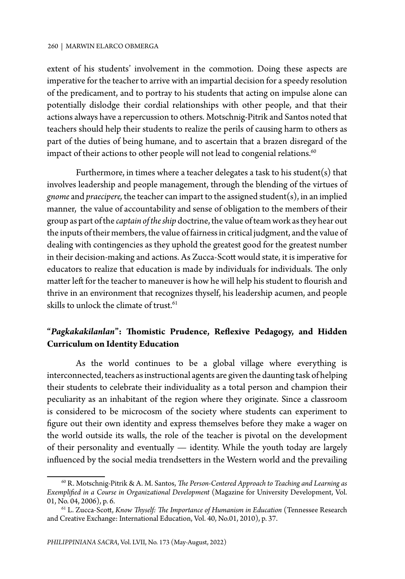extent of his students' involvement in the commotion. Doing these aspects are imperative for the teacher to arrive with an impartial decision for a speedy resolution of the predicament, and to portray to his students that acting on impulse alone can potentially dislodge their cordial relationships with other people, and that their actions always have a repercussion to others. Motschnig-Pitrik and Santos noted that teachers should help their students to realize the perils of causing harm to others as part of the duties of being humane, and to ascertain that a brazen disregard of the impact of their actions to other people will not lead to congenial relations.<sup>60</sup>

Furthermore, in times where a teacher delegates a task to his student(s) that involves leadership and people management, through the blending of the virtues of *gnome* and *praecipere,* the teacher can impart to the assigned student(s), in an implied manner, the value of accountability and sense of obligation to the members of their group as part of the *captain of the ship* doctrine, the value of team work as they hear out the inputs of their members, the value of fairness in critical judgment, and the value of dealing with contingencies as they uphold the greatest good for the greatest number in their decision-making and actions. As Zucca-Scott would state, it is imperative for educators to realize that education is made by individuals for individuals. The only matter left for the teacher to maneuver is how he will help his student to flourish and thrive in an environment that recognizes thyself, his leadership acumen, and people skills to unlock the climate of trust. $61$ 

## **"***Pagkakakilanlan***": Thomistic Prudence, Reflexive Pedagogy, and Hidden Curriculum on Identity Education**

As the world continues to be a global village where everything is interconnected, teachers as instructional agents are given the daunting task of helping their students to celebrate their individuality as a total person and champion their peculiarity as an inhabitant of the region where they originate. Since a classroom is considered to be microcosm of the society where students can experiment to figure out their own identity and express themselves before they make a wager on the world outside its walls, the role of the teacher is pivotal on the development of their personality and eventually — identity. While the youth today are largely influenced by the social media trendsetters in the Western world and the prevailing

<sup>60</sup> R. Motschnig-Pitrik & A. M. Santos, *The Person-Centered Approach to Teaching and Learning as Exemplified in a Course in Organizational Development* (Magazine for University Development, Vol. 01, No. 04, 2006), p. 6.

<sup>61</sup> L. Zucca-Scott, *Know Thyself: The Importance of Humanism in Education* (Tennessee Research and Creative Exchange: International Education, Vol. 40, No.01, 2010), p. 37.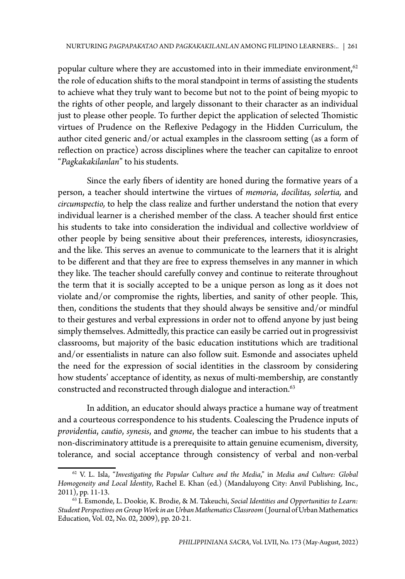popular culture where they are accustomed into in their immediate environment,  $62$ the role of education shifts to the moral standpoint in terms of assisting the students to achieve what they truly want to become but not to the point of being myopic to the rights of other people, and largely dissonant to their character as an individual just to please other people. To further depict the application of selected Thomistic virtues of Prudence on the Reflexive Pedagogy in the Hidden Curriculum, the author cited generic and/or actual examples in the classroom setting (as a form of reflection on practice) across disciplines where the teacher can capitalize to enroot "*Pagkakakilanlan*" to his students.

Since the early fibers of identity are honed during the formative years of a person, a teacher should intertwine the virtues of *memoria*, *docilitas, solertia,* and *circumspectio,* to help the class realize and further understand the notion that every individual learner is a cherished member of the class. A teacher should first entice his students to take into consideration the individual and collective worldview of other people by being sensitive about their preferences, interests, idiosyncrasies, and the like. This serves an avenue to communicate to the learners that it is alright to be different and that they are free to express themselves in any manner in which they like. The teacher should carefully convey and continue to reiterate throughout the term that it is socially accepted to be a unique person as long as it does not violate and/or compromise the rights, liberties, and sanity of other people. This, then, conditions the students that they should always be sensitive and/or mindful to their gestures and verbal expressions in order not to offend anyone by just being simply themselves. Admittedly, this practice can easily be carried out in progressivist classrooms, but majority of the basic education institutions which are traditional and/or essentialists in nature can also follow suit. Esmonde and associates upheld the need for the expression of social identities in the classroom by considering how students' acceptance of identity, as nexus of multi-membership, are constantly constructed and reconstructed through dialogue and interaction.<sup>63</sup>

In addition, an educator should always practice a humane way of treatment and a courteous correspondence to his students. Coalescing the Prudence inputs of *providentia*, *cautio*, *synesis*, and *gnome*, the teacher can imbue to his students that a non-discriminatory attitude is a prerequisite to attain genuine ecumenism, diversity, tolerance, and social acceptance through consistency of verbal and non-verbal

<sup>62</sup> V. L. Isla, "*Investigating the Popular Culture and the Media*," in *Media and Culture: Global Homogeneity and Local Identity*, Rachel E. Khan (ed.) (Mandaluyong City: Anvil Publishing, Inc., 2011), pp. 11-13.

<sup>63</sup> I. Esmonde, L. Dookie, K. Brodie, & M. Takeuchi, *Social Identities and Opportunities to Learn: Student Perspectives on Group Work in an Urban Mathematics Classroom* ( Journal of Urban Mathematics Education, Vol. 02, No. 02, 2009), pp. 20-21.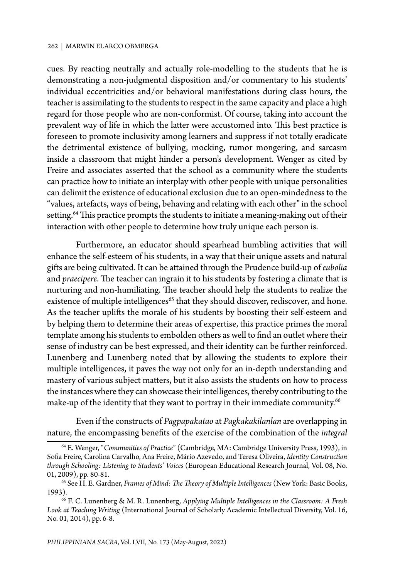cues. By reacting neutrally and actually role-modelling to the students that he is demonstrating a non-judgmental disposition and/or commentary to his students' individual eccentricities and/or behavioral manifestations during class hours, the teacher is assimilating to the students to respect in the same capacity and place a high regard for those people who are non-conformist. Of course, taking into account the prevalent way of life in which the latter were accustomed into. This best practice is foreseen to promote inclusivity among learners and suppress if not totally eradicate the detrimental existence of bullying, mocking, rumor mongering, and sarcasm inside a classroom that might hinder a person's development. Wenger as cited by Freire and associates asserted that the school as a community where the students can practice how to initiate an interplay with other people with unique personalities can delimit the existence of educational exclusion due to an open-mindedness to the "values, artefacts, ways of being, behaving and relating with each other" in the school setting.<sup>64</sup> This practice prompts the students to initiate a meaning-making out of their interaction with other people to determine how truly unique each person is.

Furthermore, an educator should spearhead humbling activities that will enhance the self-esteem of his students, in a way that their unique assets and natural gifts are being cultivated. It can be attained through the Prudence build-up of *eubolia* and *praecipere*. The teacher can ingrain it to his students by fostering a climate that is nurturing and non-humiliating. The teacher should help the students to realize the existence of multiple intelligences<sup>65</sup> that they should discover, rediscover, and hone. As the teacher uplifts the morale of his students by boosting their self-esteem and by helping them to determine their areas of expertise, this practice primes the moral template among his students to embolden others as well to find an outlet where their sense of industry can be best expressed, and their identity can be further reinforced. Lunenberg and Lunenberg noted that by allowing the students to explore their multiple intelligences, it paves the way not only for an in-depth understanding and mastery of various subject matters, but it also assists the students on how to process the instances where they can showcase their intelligences, thereby contributing to the make-up of the identity that they want to portray in their immediate community.<sup>66</sup>

Even if the constructs of *Pagpapakatao* at *Pagkakakilanlan* are overlapping in nature, the encompassing benefits of the exercise of the combination of the *integral*

<sup>64</sup> E. Wenger, "*Communities of Practice*" (Cambridge, MA: Cambridge University Press, 1993), in Sofia Freire, Carolina Carvalho, Ana Freire, Mário Azevedo, and Teresa Oliveira, *Identity Construction through Schooling: Listening to Students' Voices* (European Educational Research Journal, Vol. 08, No. 01, 2009), pp. 80-81.

<sup>65</sup> See H. E. Gardner, *Frames of Mind: The Theory of Multiple Intelligences* (New York: Basic Books, 1993). 66 F. C. Lunenberg & M. R. Lunenberg, *Applying Multiple Intelligences in the Classroom: A Fresh* 

*Look at Teaching Writing* (International Journal of Scholarly Academic Intellectual Diversity, Vol. 16, No. 01, 2014), pp. 6-8.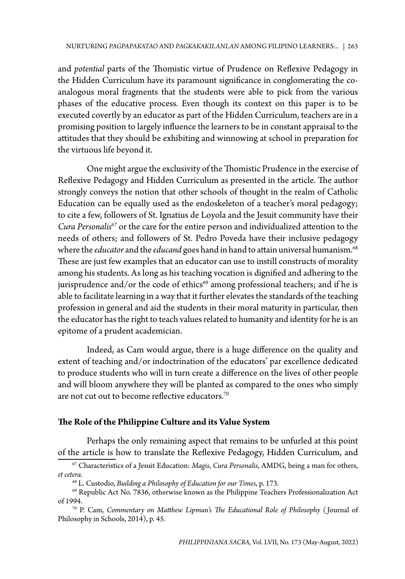and *potential* parts of the Thomistic virtue of Prudence on Reflexive Pedagogy in the Hidden Curriculum have its paramount significance in conglomerating the coanalogous moral fragments that the students were able to pick from the various phases of the educative process. Even though its context on this paper is to be executed covertly by an educator as part of the Hidden Curriculum, teachers are in a promising position to largely influence the learners to be in constant appraisal to the attitudes that they should be exhibiting and winnowing at school in preparation for the virtuous life beyond it.

One might argue the exclusivity of the Thomistic Prudence in the exercise of Reflexive Pedagogy and Hidden Curriculum as presented in the article. The author strongly conveys the notion that other schools of thought in the realm of Catholic Education can be equally used as the endoskeleton of a teacher's moral pedagogy; to cite a few, followers of St. Ignatius de Loyola and the Jesuit community have their *Cura Personalis67* or the care for the entire person and individualized attention to the needs of others; and followers of St. Pedro Poveda have their inclusive pedagogy where the *educator* and the *educand* goes hand in hand to attain universal humanism.<sup>68</sup> These are just few examples that an educator can use to instill constructs of morality among his students. As long as his teaching vocation is dignified and adhering to the jurisprudence and/or the code of ethics<sup>69</sup> among professional teachers; and if he is able to facilitate learning in a way that it further elevates the standards of the teaching profession in general and aid the students in their moral maturity in particular, then the educator has the right to teach values related to humanity and identity for he is an epitome of a prudent academician.

Indeed, as Cam would argue, there is a huge difference on the quality and extent of teaching and/or indoctrination of the educators' par excellence dedicated to produce students who will in turn create a difference on the lives of other people and will bloom anywhere they will be planted as compared to the ones who simply are not cut out to become reflective educators.<sup>70</sup>

### **The Role of the Philippine Culture and its Value System**

Perhaps the only remaining aspect that remains to be unfurled at this point of the article is how to translate the Reflexive Pedagogy, Hidden Curriculum, and

<sup>67</sup> Characteristics of a Jesuit Education: *Magis*, *Cura Personalis*, AMDG, being a man for others, *et cetera.*

<sup>68</sup> L. Custodio, *Building a Philosophy of Education for our Times*, p. 173.

 $^{69}$  Republic Act No. 7836, otherwise known as the Philippine Teachers Professionalization Act of 1994.

<sup>&</sup>lt;sup>70</sup> P. Cam, *Commentary on Matthew Lipman's The Educational Role of Philosophy* (Journal of Philosophy in Schools, 2014), p. 45.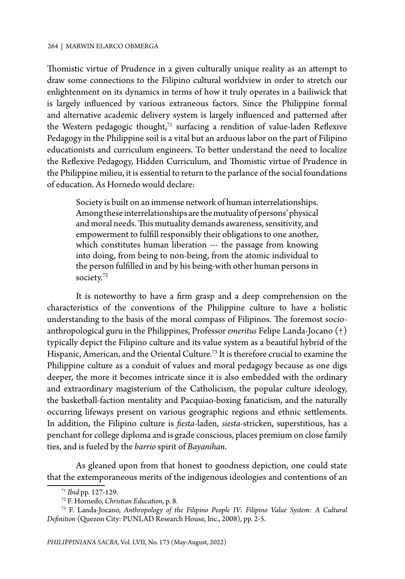Thomistic virtue of Prudence in a given culturally unique reality as an attempt to draw some connections to the Filipino cultural worldview in order to stretch our enlightenment on its dynamics in terms of how it truly operates in a bailiwick that is largely influenced by various extraneous factors. Since the Philippine formal and alternative academic delivery system is largely influenced and patterned after the Western pedagogic thought, $71$  surfacing a rendition of value-laden Reflexive Pedagogy in the Philippine soil is a vital but an arduous labor on the part of Filipino educationists and curriculum engineers. To better understand the need to localize the Reflexive Pedagogy, Hidden Curriculum, and Thomistic virtue of Prudence in the Philippine milieu, it is essential to return to the parlance of the social foundations of education. As Hornedo would declare:

Society is built on an immense network of human interrelationships. Among these interrelationships are the mutuality of persons' physical and moral needs. This mutuality demands awareness, sensitivity, and empowerment to fulfill responsibly their obligations to one another, which constitutes human liberation --- the passage from knowing into doing, from being to non-being, from the atomic individual to the person fulfilled in and by his being-with other human persons in society.72

It is noteworthy to have a firm grasp and a deep comprehension on the characteristics of the conventions of the Philippine culture to have a holistic understanding to the basis of the moral compass of Filipinos. The foremost socioanthropological guru in the Philippines, Professor *emeritus* Felipe Landa-Jocano (†) typically depict the Filipino culture and its value system as a beautiful hybrid of the Hispanic, American, and the Oriental Culture.<sup>73</sup> It is therefore crucial to examine the Philippine culture as a conduit of values and moral pedagogy because as one digs deeper, the more it becomes intricate since it is also embedded with the ordinary and extraordinary magisterium of the Catholicism, the popular culture ideology, the basketball-faction mentality and Pacquiao-boxing fanaticism, and the naturally occurring lifeways present on various geographic regions and ethnic settlements. In addition, the Filipino culture is *fiesta*-laden, *siesta*-stricken, superstitious, has a penchant for college diploma and is grade conscious, places premium on close family ties, and is fueled by the *barrio* spirit of *Bayanihan*.

As gleaned upon from that honest to goodness depiction, one could state that the extemporaneous merits of the indigenous ideologies and contentions of an

<sup>71</sup> *Ibid* pp. 127-129. 72 F. Hornedo, *Christian Education*, p. 8.

<sup>73</sup> F. Landa-Jocano, *Anthropology of the Filipino People IV: Filipino Value System: A Cultural Definition* (Quezon City: PUNLAD Research House, Inc., 2008), pp. 2-5.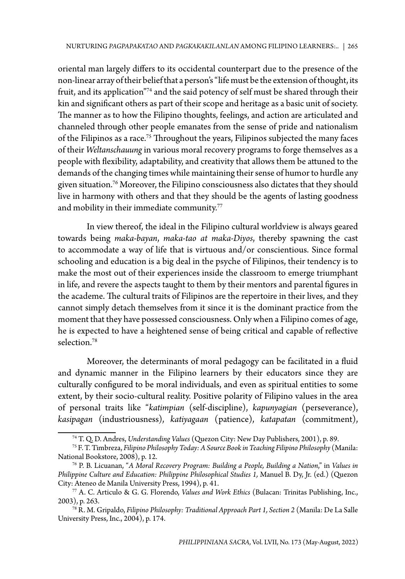oriental man largely differs to its occidental counterpart due to the presence of the non-linear array of their belief that a person's "life must be the extension of thought, its fruit, and its application"74 and the said potency of self must be shared through their kin and significant others as part of their scope and heritage as a basic unit of society. The manner as to how the Filipino thoughts, feelings, and action are articulated and channeled through other people emanates from the sense of pride and nationalism of the Filipinos as a race.<sup>75</sup> Throughout the years, Filipinos subjected the many faces of their *Weltanschauung* in various moral recovery programs to forge themselves as a people with flexibility, adaptability, and creativity that allows them be attuned to the demands of the changing times while maintaining their sense of humor to hurdle any given situation.76 Moreover, the Filipino consciousness also dictates that they should live in harmony with others and that they should be the agents of lasting goodness and mobility in their immediate community.<sup>77</sup>

In view thereof, the ideal in the Filipino cultural worldview is always geared towards being *maka-bayan*, *maka-tao at maka-Diyos*, thereby spawning the cast to accommodate a way of life that is virtuous and/or conscientious. Since formal schooling and education is a big deal in the psyche of Filipinos, their tendency is to make the most out of their experiences inside the classroom to emerge triumphant in life, and revere the aspects taught to them by their mentors and parental figures in the academe. The cultural traits of Filipinos are the repertoire in their lives, and they cannot simply detach themselves from it since it is the dominant practice from the moment that they have possessed consciousness. Only when a Filipino comes of age, he is expected to have a heightened sense of being critical and capable of reflective selection.78

Moreover, the determinants of moral pedagogy can be facilitated in a fluid and dynamic manner in the Filipino learners by their educators since they are culturally configured to be moral individuals, and even as spiritual entities to some extent, by their socio-cultural reality. Positive polarity of Filipino values in the area of personal traits like "*katimpian* (self-discipline), *kapunyagian* (perseverance), *kasipagan* (industriousness), *katiyagaan* (patience), *katapatan* (commitment),

<sup>74</sup> T. Q. D. Andres, *Understanding Values* (Quezon City: New Day Publishers, 2001), p. 89.

<sup>75</sup> F. T. Timbreza, *Filipino Philosophy Today: A Source Book in Teaching Filipino Philosophy* (Manila: National Bookstore, 2008), p. 12.

<sup>76</sup> P. B. Licuanan, "*A Moral Recovery Program: Building a People, Building a Nation*," in *Values in Philippine Culture and Education: Philippine Philosophical Studies 1,* Manuel B. Dy, Jr. (ed.) (Quezon City: Ateneo de Manila University Press, 1994), p. 41.

<sup>77</sup> A. C. Articulo & G. G. Florendo, *Values and Work Ethics* (Bulacan: Trinitas Publishing, Inc.,

<sup>&</sup>lt;sup>78</sup> R. M. Gripaldo, *Filipino Philosophy: Traditional Approach Part 1, Section 2 (Manila: De La Salle* University Press, Inc., 2004), p. 174.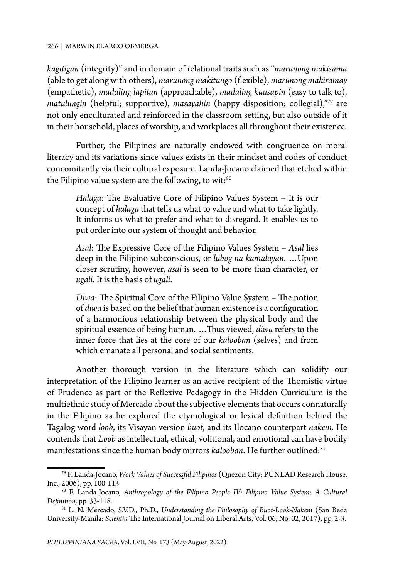*kagitigan* (integrity)" and in domain of relational traits such as "*marunong makisama*  (able to get along with others), *marunong makitungo* (flexible), *marunong makiramay* (empathetic), *madaling lapitan* (approachable), *madaling kausapin* (easy to talk to), *matulungin* (helpful; supportive), *masayahin* (happy disposition; collegial),"79 are not only enculturated and reinforced in the classroom setting, but also outside of it in their household, places of worship, and workplaces all throughout their existence.

Further, the Filipinos are naturally endowed with congruence on moral literacy and its variations since values exists in their mindset and codes of conduct concomitantly via their cultural exposure. Landa-Jocano claimed that etched within the Filipino value system are the following, to wit:<sup>80</sup>

*Halaga*: The Evaluative Core of Filipino Values System – It is our concept of *halaga* that tells us what to value and what to take lightly. It informs us what to prefer and what to disregard. It enables us to put order into our system of thought and behavior.

*Asal*: The Expressive Core of the Filipino Values System – *Asal* lies deep in the Filipino subconscious, or *lubog na kamalayan*. …Upon closer scrutiny, however, *asal* is seen to be more than character, or *ugali*. It is the basis of *ugali*.

*Diwa*: The Spiritual Core of the Filipino Value System – The notion of *diwa* is based on the belief that human existence is a configuration of a harmonious relationship between the physical body and the spiritual essence of being human. …Thus viewed, *diwa* refers to the inner force that lies at the core of our *kalooban* (selves) and from which emanate all personal and social sentiments.

Another thorough version in the literature which can solidify our interpretation of the Filipino learner as an active recipient of the Thomistic virtue of Prudence as part of the Reflexive Pedagogy in the Hidden Curriculum is the multiethnic study of Mercado about the subjective elements that occurs connaturally in the Filipino as he explored the etymological or lexical definition behind the Tagalog word *loob*, its Visayan version *buot*, and its Ilocano counterpart *nakem*. He contends that *Loob* as intellectual, ethical, volitional, and emotional can have bodily manifestations since the human body mirrors *kalooban*. He further outlined:<sup>81</sup>

<sup>79</sup> F. Landa-Jocano, *Work Values of Successful Filipinos* (Quezon City: PUNLAD Research House, Inc., 2006), pp. 100-113.

<sup>80</sup> F. Landa-Jocano, *Anthropology of the Filipino People IV: Filipino Value System: A Cultural Definition,* pp. 33-118.

<sup>81</sup> L. N. Mercado, S.V.D., Ph.D., *Understanding the Philosophy of Buot-Look-Nakem* (San Beda University-Manila: *Scientia* The International Journal on Liberal Arts, Vol. 06, No. 02, 2017), pp. 2-3.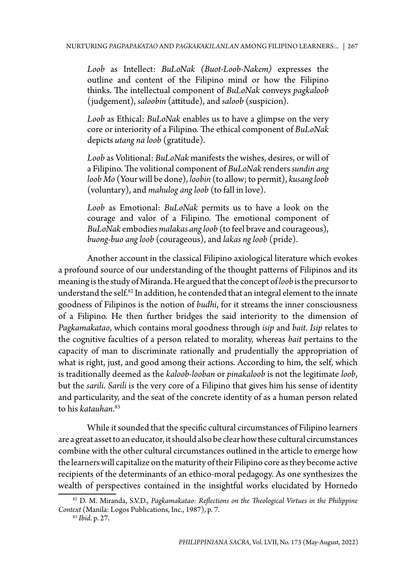*Loob* as Intellect: *BuLoNak (Buot-Loob-Nakem)* expresses the outline and content of the Filipino mind or how the Filipino thinks. The intellectual component of *BuLoNak* conveys *pagkaloob* (judgement), *saloobin* (attitude), and *saloob* (suspicion).

*Loob* as Ethical: *BuLoNak* enables us to have a glimpse on the very core or interiority of a Filipino. The ethical component of *BuLoNak* depicts *utang na loob* (gratitude).

*Loob* as Volitional: *BuLoNak* manifests the wishes, desires, or will of a Filipino. The volitional component of *BuLoNak* renders *sundin ang loob Mo* (Your will be done), *loobin* (to allow; to permit), *kusang loob* (voluntary), and *mahulog ang loob* (to fall in love).

*Loob* as Emotional: *BuLoNak* permits us to have a look on the courage and valor of a Filipino. The emotional component of *BuLoNak* embodies *malakas ang loob* (to feel brave and courageous), *buong-buo ang loob* (courageous), and *lakas ng loob* (pride).

Another account in the classical Filipino axiological literature which evokes a profound source of our understanding of the thought patterns of Filipinos and its meaning is the study of Miranda. He argued that the concept of *loob* is the precursor to understand the self.<sup>82</sup> In addition, he contended that an integral element to the innate goodness of Filipinos is the notion of *budhi*, for it streams the inner consciousness of a Filipino. He then further bridges the said interiority to the dimension of *Pagkamakatao*, which contains moral goodness through *isip* and *bait*. *Isip* relates to the cognitive faculties of a person related to morality, whereas *bait* pertains to the capacity of man to discriminate rationally and prudentially the appropriation of what is right, just, and good among their actions. According to him, the self, which is traditionally deemed as the *kaloob-looban* or *pinakaloob* is not the legitimate *loob*, but the *sarili*. *Sarili* is the very core of a Filipino that gives him his sense of identity and particularity, and the seat of the concrete identity of as a human person related to his *katauhan*. 83

While it sounded that the specific cultural circumstances of Filipino learners are a great asset to an educator, it should also be clear how these cultural circumstances combine with the other cultural circumstances outlined in the article to emerge how the learners will capitalize on the maturity of their Filipino core as they become active recipients of the determinants of an ethico-moral pedagogy. As one synthesizes the wealth of perspectives contained in the insightful works elucidated by Hornedo

<sup>82</sup> D. M. Miranda, S.V.D., *Pagkamakatao: Reflections on the Theological Virtues in the Philippine Context* (Manila: Logos Publications, Inc., 1987), p. 7.

<sup>83</sup> *Ibid*. p. 27.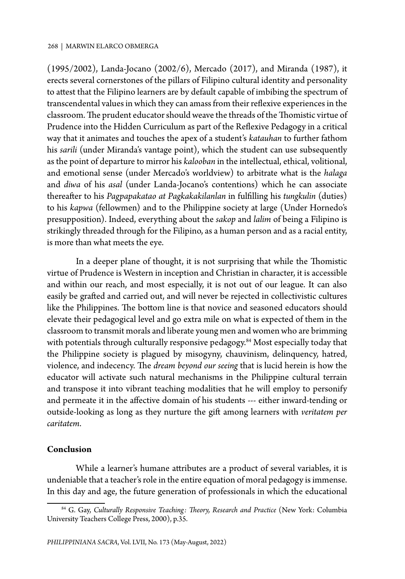(1995/2002), Landa-Jocano (2002/6), Mercado (2017), and Miranda (1987), it erects several cornerstones of the pillars of Filipino cultural identity and personality to attest that the Filipino learners are by default capable of imbibing the spectrum of transcendental values in which they can amass from their reflexive experiences in the classroom. The prudent educator should weave the threads of the Thomistic virtue of Prudence into the Hidden Curriculum as part of the Reflexive Pedagogy in a critical way that it animates and touches the apex of a student's *katauhan* to further fathom his *sarili* (under Miranda's vantage point), which the student can use subsequently as the point of departure to mirror his *kalooban* in the intellectual, ethical, volitional, and emotional sense (under Mercado's worldview) to arbitrate what is the *halaga* and *diwa* of his *asal* (under Landa-Jocano's contentions) which he can associate thereafter to his *Pagpapakatao at Pagkakakilanlan* in fulfilling his *tungkulin* (duties) to his *kapwa* (fellowmen) and to the Philippine society at large (Under Hornedo's presupposition). Indeed, everything about the *sakop* and *lalim* of being a Filipino is strikingly threaded through for the Filipino, as a human person and as a racial entity, is more than what meets the eye.

In a deeper plane of thought, it is not surprising that while the Thomistic virtue of Prudence is Western in inception and Christian in character, it is accessible and within our reach, and most especially, it is not out of our league. It can also easily be grafted and carried out, and will never be rejected in collectivistic cultures like the Philippines. The bottom line is that novice and seasoned educators should elevate their pedagogical level and go extra mile on what is expected of them in the classroom to transmit morals and liberate young men and women who are brimming with potentials through culturally responsive pedagogy.<sup>84</sup> Most especially today that the Philippine society is plagued by misogyny, chauvinism, delinquency, hatred, violence, and indecency. The *dream beyond our seeing* that is lucid herein is how the educator will activate such natural mechanisms in the Philippine cultural terrain and transpose it into vibrant teaching modalities that he will employ to personify and permeate it in the affective domain of his students --- either inward-tending or outside-looking as long as they nurture the gift among learners with *veritatem per caritatem*.

### **Conclusion**

While a learner's humane attributes are a product of several variables, it is undeniable that a teacher's role in the entire equation of moral pedagogy is immense. In this day and age, the future generation of professionals in which the educational

<sup>&</sup>lt;sup>84</sup> G. Gay, *Culturally Responsive Teaching: Theory, Research and Practice* (New York: Columbia University Teachers College Press, 2000), p.35.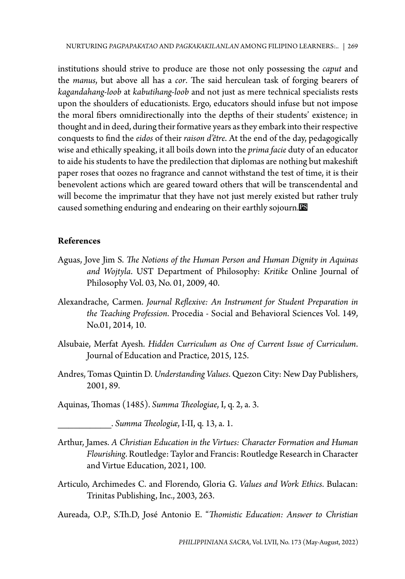institutions should strive to produce are those not only possessing the *caput* and the *manus*, but above all has a *cor*. The said herculean task of forging bearers of *kagandahang-loob* at *kabutihang-loob* and not just as mere technical specialists rests upon the shoulders of educationists. Ergo, educators should infuse but not impose the moral fibers omnidirectionally into the depths of their students' existence; in thought and in deed, during their formative years as they embark into their respective conquests to find the *eidos* of their *raison d'être*. At the end of the day, pedagogically wise and ethically speaking, it all boils down into the *prima facie* duty of an educator to aide his students to have the predilection that diplomas are nothing but makeshift paper roses that oozes no fragrance and cannot withstand the test of time, it is their benevolent actions which are geared toward others that will be transcendental and will become the imprimatur that they have not just merely existed but rather truly caused something enduring and endearing on their earthly sojourn.

### **References**

- Aguas, Jove Jim S. *The Notions of the Human Person and Human Dignity in Aquinas and Wojtyla*. UST Department of Philosophy: *Kritike* Online Journal of Philosophy Vol. 03, No. 01, 2009, 40.
- Alexandrache, Carmen. *Journal Reflexive: An Instrument for Student Preparation in the Teaching Profession*. Procedia - Social and Behavioral Sciences Vol. 149, No.01, 2014, 10.
- Alsubaie, Merfat Ayesh. *Hidden Curriculum as One of Current Issue of Curriculum*. Journal of Education and Practice, 2015, 125.
- Andres, Tomas Quintin D. *Understanding Values*. Quezon City: New Day Publishers, 2001, 89.
- Aquinas, Thomas (1485). *Summa Theologiae*, I, q. 2, a. 3.

\_\_\_\_\_\_\_\_\_\_. *Summa Theologiæ*, I-II, q. 13, a. 1.

- Arthur, James. *A Christian Education in the Virtues: Character Formation and Human Flourishing*. Routledge: Taylor and Francis: Routledge Research in Character and Virtue Education, 2021, 100.
- Articulo, Archimedes C. and Florendo, Gloria G. *Values and Work Ethics*. Bulacan: Trinitas Publishing, Inc., 2003, 263.

Aureada, O.P., S.Th.D, José Antonio E. "*Thomistic Education: Answer to Christian*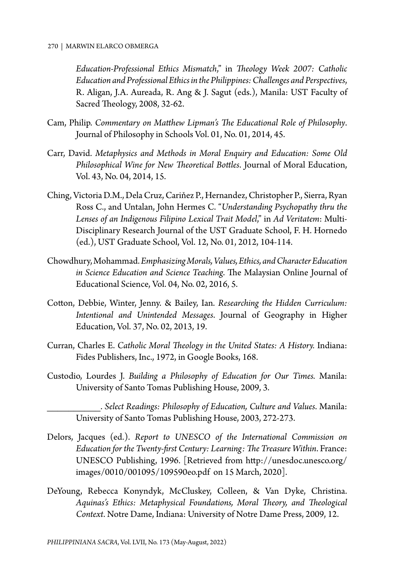*Education-Professional Ethics Mismatch*," in *Theology Week 2007: Catholic Education and Professional Ethics in the Philippines: Challenges and Perspectives*, R. Aligan, J.A. Aureada, R. Ang & J. Sagut (eds.), Manila: UST Faculty of Sacred Theology, 2008, 32-62.

- Cam, Philip. *Commentary on Matthew Lipman's The Educational Role of Philosophy*. Journal of Philosophy in Schools Vol. 01, No. 01, 2014, 45.
- Carr, David. *Metaphysics and Methods in Moral Enquiry and Education: Some Old Philosophical Wine for New Theoretical Bottles*. Journal of Moral Education, Vol. 43, No. 04, 2014, 15.
- Ching, Victoria D.M., Dela Cruz, Cariňez P., Hernandez, Christopher P., Sierra, Ryan Ross C., and Untalan, John Hermes C. "*Understanding Psychopathy thru the Lenses of an Indigenous Filipino Lexical Trait Model*," in *Ad Veritatem*: Multi-Disciplinary Research Journal of the UST Graduate School, F. H. Hornedo (ed.), UST Graduate School, Vol. 12, No. 01, 2012, 104-114.
- Chowdhury, Mohammad. *Emphasizing Morals, Values, Ethics, and Character Education in Science Education and Science Teaching*. The Malaysian Online Journal of Educational Science, Vol. 04, No. 02, 2016, 5.
- Cotton, Debbie, Winter, Jenny. & Bailey, Ian. *Researching the Hidden Curriculum: Intentional and Unintended Messages*. Journal of Geography in Higher Education, Vol. 37, No. 02, 2013, 19.
- Curran, Charles E. *Catholic Moral Theology in the United States: A History.* Indiana: Fides Publishers, Inc., 1972, in Google Books, 168.
- Custodio, Lourdes J. *Building a Philosophy of Education for Our Times.* Manila: University of Santo Tomas Publishing House, 2009, 3.

\_\_\_\_\_\_\_\_\_\_. *Select Readings: Philosophy of Education, Culture and Values*. Manila: University of Santo Tomas Publishing House, 2003, 272-273.

- Delors, Jacques (ed.). *Report to UNESCO of the International Commission on Education for the Twenty-first Century: Learning: The Treasure Within*. France: UNESCO Publishing, 1996. [Retrieved from http://unesdoc.unesco.org/ images/0010/001095/109590eo.pdf on 15 March, 2020].
- DeYoung, Rebecca Konyndyk, McCluskey, Colleen, & Van Dyke, Christina. *Aquinas's Ethics: Metaphysical Foundations, Moral Theory, and Theological Context*. Notre Dame, Indiana: University of Notre Dame Press, 2009, 12.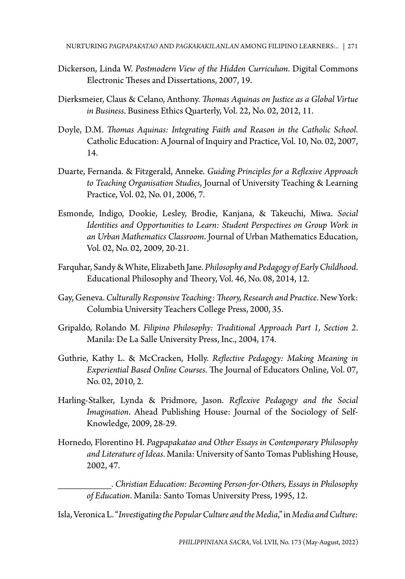- Dickerson, Linda W. *Postmodern View of the Hidden Curriculum*. Digital Commons Electronic Theses and Dissertations, 2007, 19.
- Dierksmeier, Claus & Celano, Anthony. *Thomas Aquinas on Justice as a Global Virtue in Business*. Business Ethics Quarterly, Vol. 22, No. 02, 2012, 11.
- Doyle, D.M. *Thomas Aquinas: Integrating Faith and Reason in the Catholic School*. Catholic Education: A Journal of Inquiry and Practice, Vol. 10, No. 02, 2007, 14.
- Duarte, Fernanda. & Fitzgerald, Anneke. *Guiding Principles for a Reflexive Approach to Teaching Organisation Studies*, Journal of University Teaching & Learning Practice, Vol. 02, No. 01, 2006, 7.
- Esmonde, Indigo, Dookie, Lesley, Brodie, Kanjana, & Takeuchi, Miwa. *Social Identities and Opportunities to Learn: Student Perspectives on Group Work in an Urban Mathematics Classroom*. Journal of Urban Mathematics Education, Vol. 02, No. 02, 2009, 20-21.
- Farquhar, Sandy & White, Elizabeth Jane. *Philosophy and Pedagogy of Early Childhood*. Educational Philosophy and Theory, Vol. 46, No. 08, 2014, 12.
- Gay, Geneva. *Culturally Responsive Teaching: Theory, Research and Practice*. New York: Columbia University Teachers College Press, 2000, 35.
- Gripaldo, Rolando M. *Filipino Philosophy: Traditional Approach Part 1, Section 2*. Manila: De La Salle University Press, Inc., 2004, 174.
- Guthrie, Kathy L. & McCracken, Holly. *Reflective Pedagogy: Making Meaning in Experiential Based Online Courses*. The Journal of Educators Online, Vol. 07, No. 02, 2010, 2.
- Harling-Stalker, Lynda & Pridmore, Jason. *Reflexive Pedagogy and the Social Imagination*. Ahead Publishing House: Journal of the Sociology of Self-Knowledge, 2009, 28-29.
- Hornedo, Florentino H. *Pagpapakatao and Other Essays in Contemporary Philosophy and Literature of Ideas*. Manila: University of Santo Tomas Publishing House, 2002, 47.

\_\_\_\_\_\_\_\_\_\_. *Christian Education: Becoming Person-for-Others, Essays in Philosophy of Education*. Manila: Santo Tomas University Press, 1995, 12.

Isla, Veronica L. "*Investigating the Popular Culture and the Media*," in *Media and Culture:*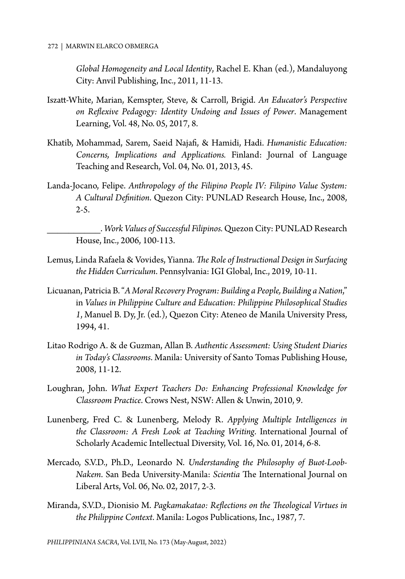*Global Homogeneity and Local Identity*, Rachel E. Khan (ed.), Mandaluyong City: Anvil Publishing, Inc., 2011, 11-13.

- Iszatt-White, Marian, Kemspter, Steve, & Carroll, Brigid. *An Educator's Perspective on Reflexive Pedagogy: Identity Undoing and Issues of Power*. Management Learning, Vol. 48, No. 05, 2017, 8.
- Khatib, Mohammad, Sarem, Saeid Najafi, & Hamidi, Hadi. *Humanistic Education: Concerns, Implications and Applications.* Finland: Journal of Language Teaching and Research, Vol. 04, No. 01, 2013, 45.
- Landa-Jocano, Felipe. *Anthropology of the Filipino People IV: Filipino Value System: A Cultural Definition*. Quezon City: PUNLAD Research House, Inc., 2008,  $2-5.$

\_\_\_\_\_\_\_\_\_\_. *Work Values of Successful Filipinos.* Quezon City: PUNLAD Research House, Inc., 2006, 100-113.

- Lemus, Linda Rafaela & Vovides, Yianna. *The Role of Instructional Design in Surfacing the Hidden Curriculum*. Pennsylvania: IGI Global, Inc., 2019, 10-11.
- Licuanan, Patricia B. "*A Moral Recovery Program: Building a People, Building a Nation*," in *Values in Philippine Culture and Education: Philippine Philosophical Studies 1*, Manuel B. Dy, Jr. (ed.), Quezon City: Ateneo de Manila University Press, 1994, 41.
- Litao Rodrigo A. & de Guzman, Allan B. *Authentic Assessment: Using Student Diaries in Today's Classrooms*. Manila: University of Santo Tomas Publishing House, 2008, 11-12.
- Loughran, John. *What Expert Teachers Do: Enhancing Professional Knowledge for Classroom Practice*. Crows Nest, NSW: Allen & Unwin, 2010, 9.
- Lunenberg, Fred C. & Lunenberg, Melody R. *Applying Multiple Intelligences in the Classroom: A Fresh Look at Teaching Writing*. International Journal of Scholarly Academic Intellectual Diversity, Vol. 16, No. 01, 2014, 6-8.
- Mercado, S.V.D., Ph.D., Leonardo N. *Understanding the Philosophy of Buot-Loob-Nakem*. San Beda University-Manila: *Scientia* The International Journal on Liberal Arts, Vol. 06, No. 02, 2017, 2-3.
- Miranda, S.V.D., Dionisio M. *Pagkamakatao: Reflections on the Theological Virtues in the Philippine Context*. Manila: Logos Publications, Inc., 1987, 7.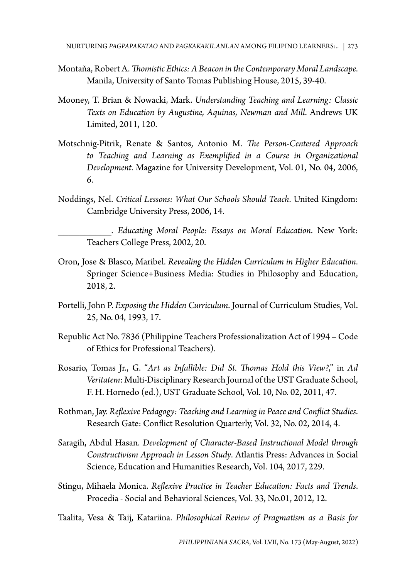- Montaňa, Robert A. *Thomistic Ethics: A Beacon in the Contemporary Moral Landscape*. Manila, University of Santo Tomas Publishing House, 2015, 39-40.
- Mooney, T. Brian & Nowacki, Mark. *Understanding Teaching and Learning: Classic Texts on Education by Augustine, Aquinas, Newman and Mill*. Andrews UK Limited, 2011, 120.
- Motschnig-Pitrik, Renate & Santos, Antonio M. *The Person-Centered Approach to Teaching and Learning as Exemplified in a Course in Organizational Development*. Magazine for University Development, Vol. 01, No. 04, 2006, 6.
- Noddings, Nel. *Critical Lessons: What Our Schools Should Teach*. United Kingdom: Cambridge University Press, 2006, 14.

\_\_\_\_\_\_\_\_\_\_. *Educating Moral People: Essays on Moral Education*. New York: Teachers College Press, 2002, 20.

- Oron, Jose & Blasco, Maribel. *Revealing the Hidden Curriculum in Higher Education*. Springer Science+Business Media: Studies in Philosophy and Education, 2018, 2.
- Portelli, John P. *Exposing the Hidden Curriculum*. Journal of Curriculum Studies, Vol. 25, No. 04, 1993, 17.
- Republic Act No. 7836 (Philippine Teachers Professionalization Act of 1994 Code of Ethics for Professional Teachers).
- Rosario, Tomas Jr., G. "*Art as Infallible: Did St. Thomas Hold this View?*," in *Ad Veritatem*: Multi-Disciplinary Research Journal of the UST Graduate School, F. H. Hornedo (ed.), UST Graduate School, Vol. 10, No. 02, 2011, 47.
- Rothman, Jay. *Reflexive Pedagogy: Teaching and Learning in Peace and Conflict Studies*. Research Gate: Conflict Resolution Quarterly, Vol. 32, No. 02, 2014, 4.
- Saragih, Abdul Hasan. *Development of Character-Based Instructional Model through Constructivism Approach in Lesson Study*. Atlantis Press: Advances in Social Science, Education and Humanities Research, Vol. 104, 2017, 229.
- Stîngu, Mihaela Monica. *Reflexive Practice in Teacher Education: Facts and Trends*. Procedia - Social and Behavioral Sciences, Vol. 33, No.01, 2012, 12.
- Taalita, Vesa & Taij, Katariina. *Philosophical Review of Pragmatism as a Basis for*